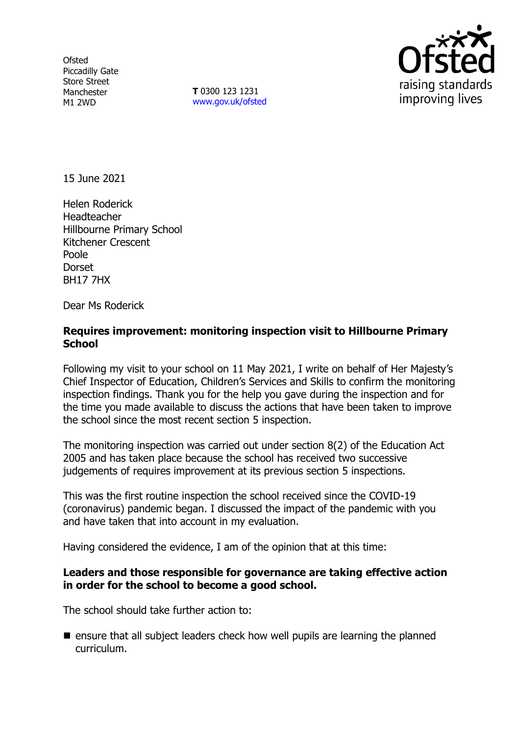**Ofsted** Piccadilly Gate Store Street Manchester M1 2WD

**T** 0300 123 1231 [www.gov.uk/ofsted](http://www.gov.uk/ofsted)



15 June 2021

Helen Roderick Headteacher Hillbourne Primary School Kitchener Crescent Poole **Dorset** BH17 7HX

Dear Ms Roderick

### **Requires improvement: monitoring inspection visit to Hillbourne Primary School**

Following my visit to your school on 11 May 2021, I write on behalf of Her Majesty's Chief Inspector of Education, Children's Services and Skills to confirm the monitoring inspection findings. Thank you for the help you gave during the inspection and for the time you made available to discuss the actions that have been taken to improve the school since the most recent section 5 inspection.

The monitoring inspection was carried out under section 8(2) of the Education Act 2005 and has taken place because the school has received two successive judgements of requires improvement at its previous section 5 inspections.

This was the first routine inspection the school received since the COVID-19 (coronavirus) pandemic began. I discussed the impact of the pandemic with you and have taken that into account in my evaluation.

Having considered the evidence, I am of the opinion that at this time:

#### **Leaders and those responsible for governance are taking effective action in order for the school to become a good school.**

The school should take further action to:

 $\blacksquare$  ensure that all subject leaders check how well pupils are learning the planned curriculum.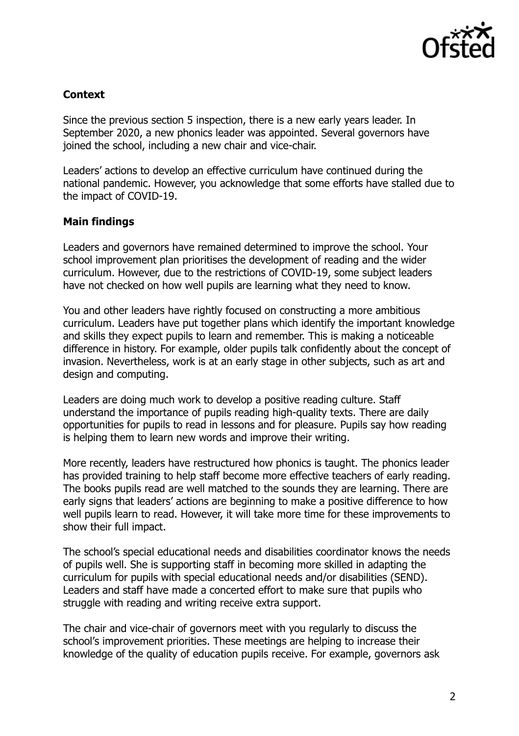

## **Context**

Since the previous section 5 inspection, there is a new early years leader. In September 2020, a new phonics leader was appointed. Several governors have joined the school, including a new chair and vice-chair.

Leaders' actions to develop an effective curriculum have continued during the national pandemic. However, you acknowledge that some efforts have stalled due to the impact of COVID-19.

### **Main findings**

Leaders and governors have remained determined to improve the school. Your school improvement plan prioritises the development of reading and the wider curriculum. However, due to the restrictions of COVID-19, some subject leaders have not checked on how well pupils are learning what they need to know.

You and other leaders have rightly focused on constructing a more ambitious curriculum. Leaders have put together plans which identify the important knowledge and skills they expect pupils to learn and remember. This is making a noticeable difference in history. For example, older pupils talk confidently about the concept of invasion. Nevertheless, work is at an early stage in other subjects, such as art and design and computing.

Leaders are doing much work to develop a positive reading culture. Staff understand the importance of pupils reading high-quality texts. There are daily opportunities for pupils to read in lessons and for pleasure. Pupils say how reading is helping them to learn new words and improve their writing.

More recently, leaders have restructured how phonics is taught. The phonics leader has provided training to help staff become more effective teachers of early reading. The books pupils read are well matched to the sounds they are learning. There are early signs that leaders' actions are beginning to make a positive difference to how well pupils learn to read. However, it will take more time for these improvements to show their full impact.

The school's special educational needs and disabilities coordinator knows the needs of pupils well. She is supporting staff in becoming more skilled in adapting the curriculum for pupils with special educational needs and/or disabilities (SEND). Leaders and staff have made a concerted effort to make sure that pupils who struggle with reading and writing receive extra support.

The chair and vice-chair of governors meet with you regularly to discuss the school's improvement priorities. These meetings are helping to increase their knowledge of the quality of education pupils receive. For example, governors ask